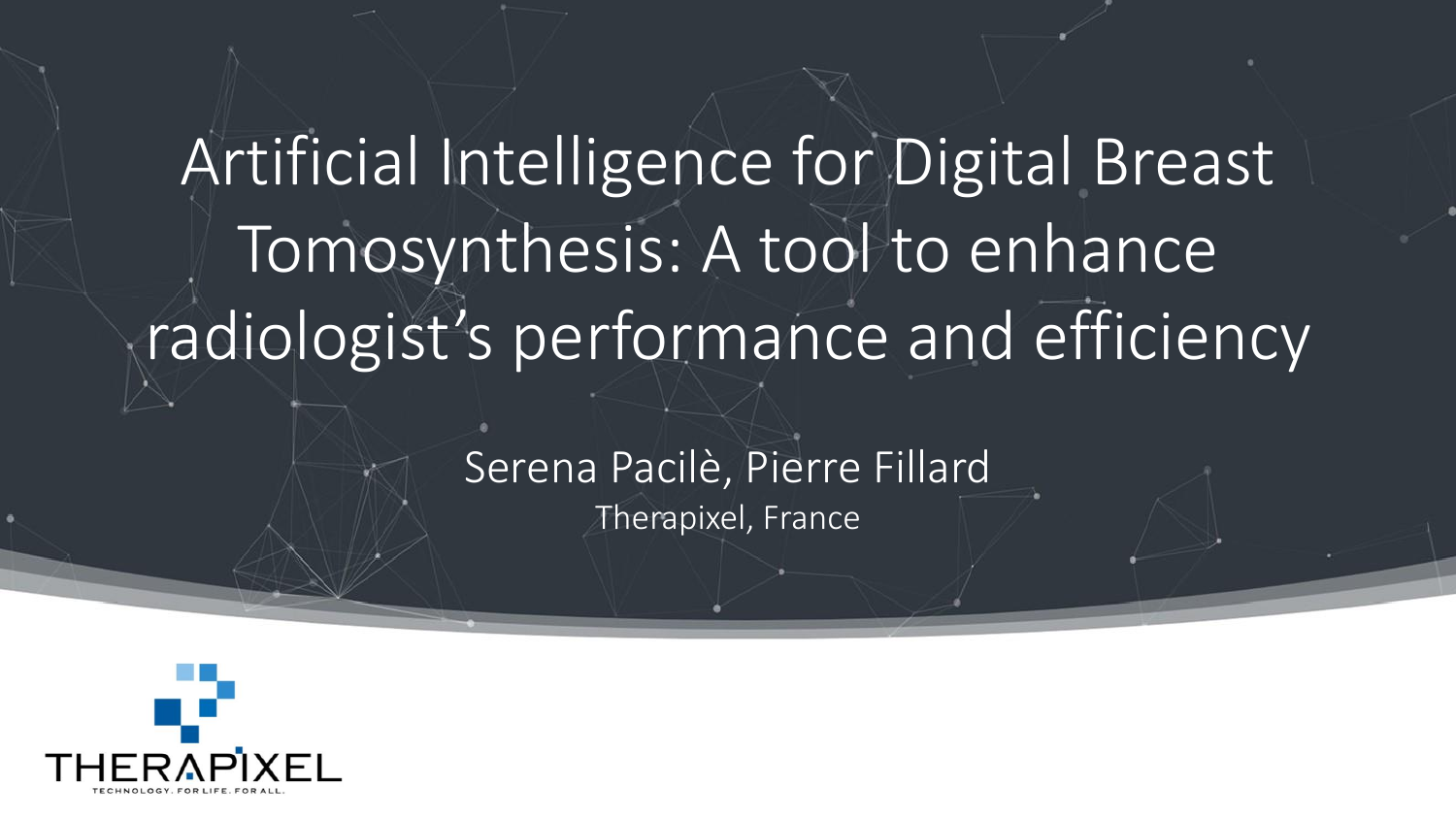# Artificial Intelligence for Digital Breast Tomosynthesis: A tool to enhance radiologist's performance and efficiency

#### Serena Pacilè, Pierre Fillard Therapixel, France

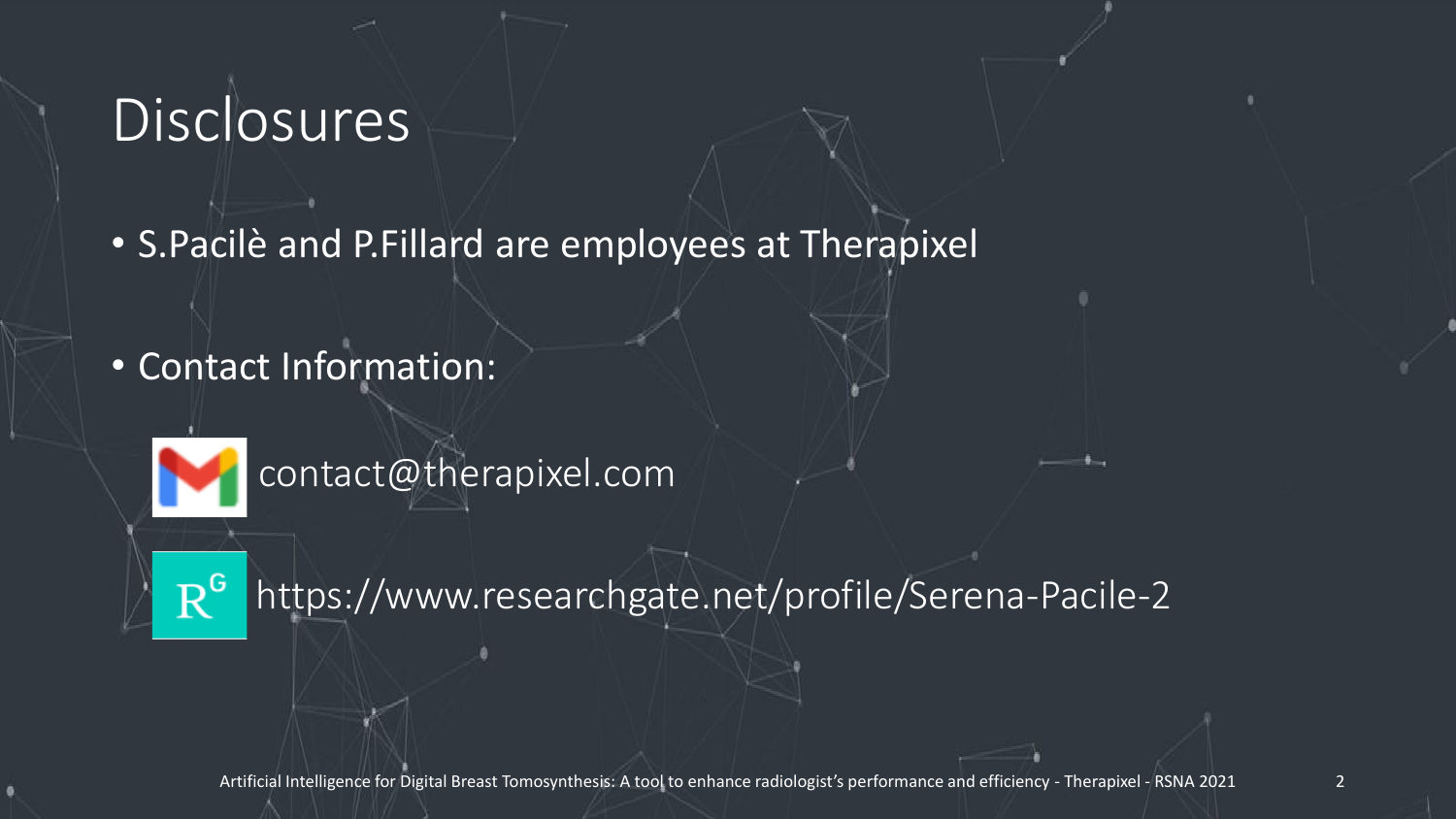## **Disclosures**

- S.Pacilè and P.Fillard are employees at Therapixel
- Contact Information:



contact@therapixel.com



https://www.researchgate.net/profile/Serena-Pacile-2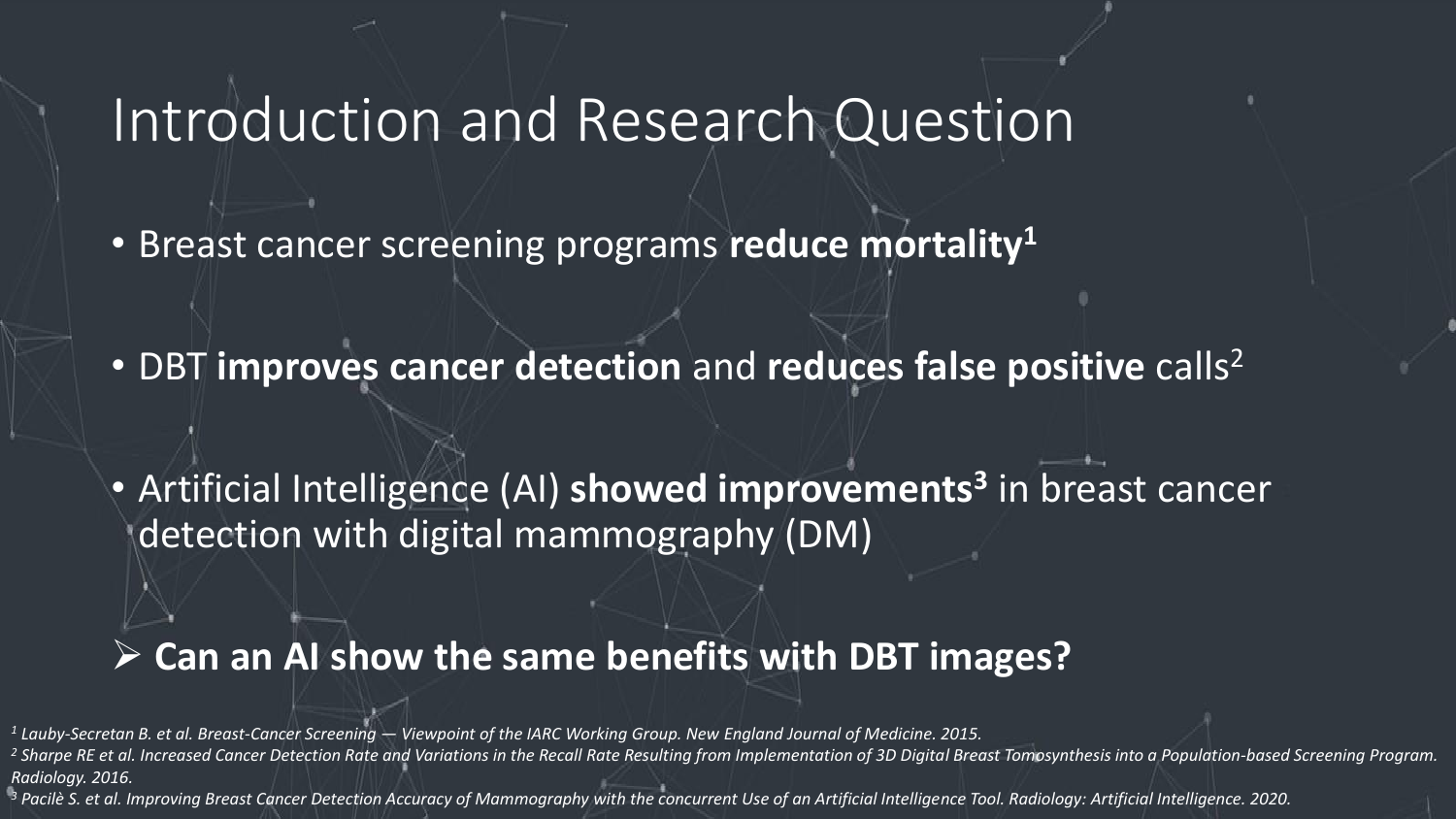### Introduction and Research Question

- Breast cancer screening programs **reduce mortality<sup>1</sup>**
- DBT **improves cancer detection** and **reduces false positive** calls<sup>2</sup>

• Artificial Intelligence (AI) **showed improvements<sup>3</sup>** in breast cancer detection with digital mammography (DM)

#### ➢ **Can an AI show the same benefits with DBT images?**

*<sup>1</sup> Lauby-Secretan B. et al. Breast-Cancer Screening — Viewpoint of the IARC Working Group. New England Journal of Medicine. 2015.*

<sup>2</sup> Sharpe RE et al. Increased Cancer Detection Rate and Variations in the Recall Rate Resulting from Implementation of 3D Digital Breast Tomosynthesis into a Population-based Screening Program. *Radiology. 2016.*

*<sup>3</sup> Pacilè S. et al. Improving Breast Cancer Detection Accuracy of Mammography with the concurrent Use of an Artificial Intelligence Tool. Radiology: Artificial Intelligence. 2020.*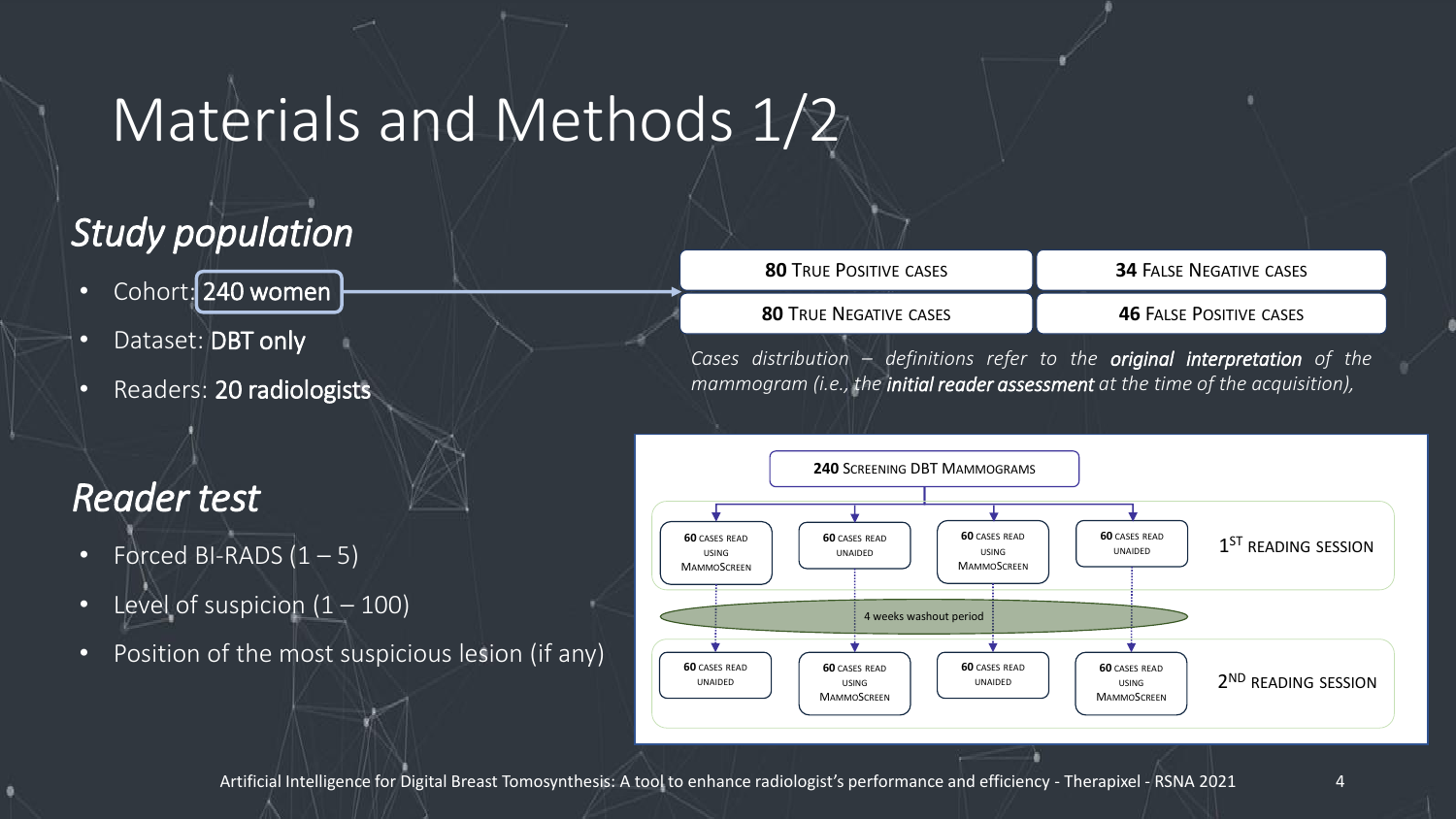### Materials and Methods 1/2

#### *Study population*

- Cohort: 240 women
- Dataset: DBT only
- Readers: 20 radiologists

#### *Reader test*

- Forced BI-RADS  $(1 5)$
- Level of suspicion  $(1 100)$
- Position of the most suspicious lesion (if any)

| <b>80 TRUE POSITIVE CASES</b>                                                     | <b>34 FALSE NEGATIVE CASES</b> |
|-----------------------------------------------------------------------------------|--------------------------------|
| <b>80 TRUE NEGATIVE CASES</b>                                                     | <b>46 FALSE POSITIVE CASES</b> |
| ises distribution – definitions refer to the <b>original interpretation</b> of th |                                |

*Cases distribution – definitions refer to the original interpretation of the mammogram (i.e., the initial reader assessment at the time of the acquisition),*



Artificial Intelligence for Digital Breast Tomosynthesis: A tool to enhance radiologist's performance and efficiency - Therapixel - RSNA 2021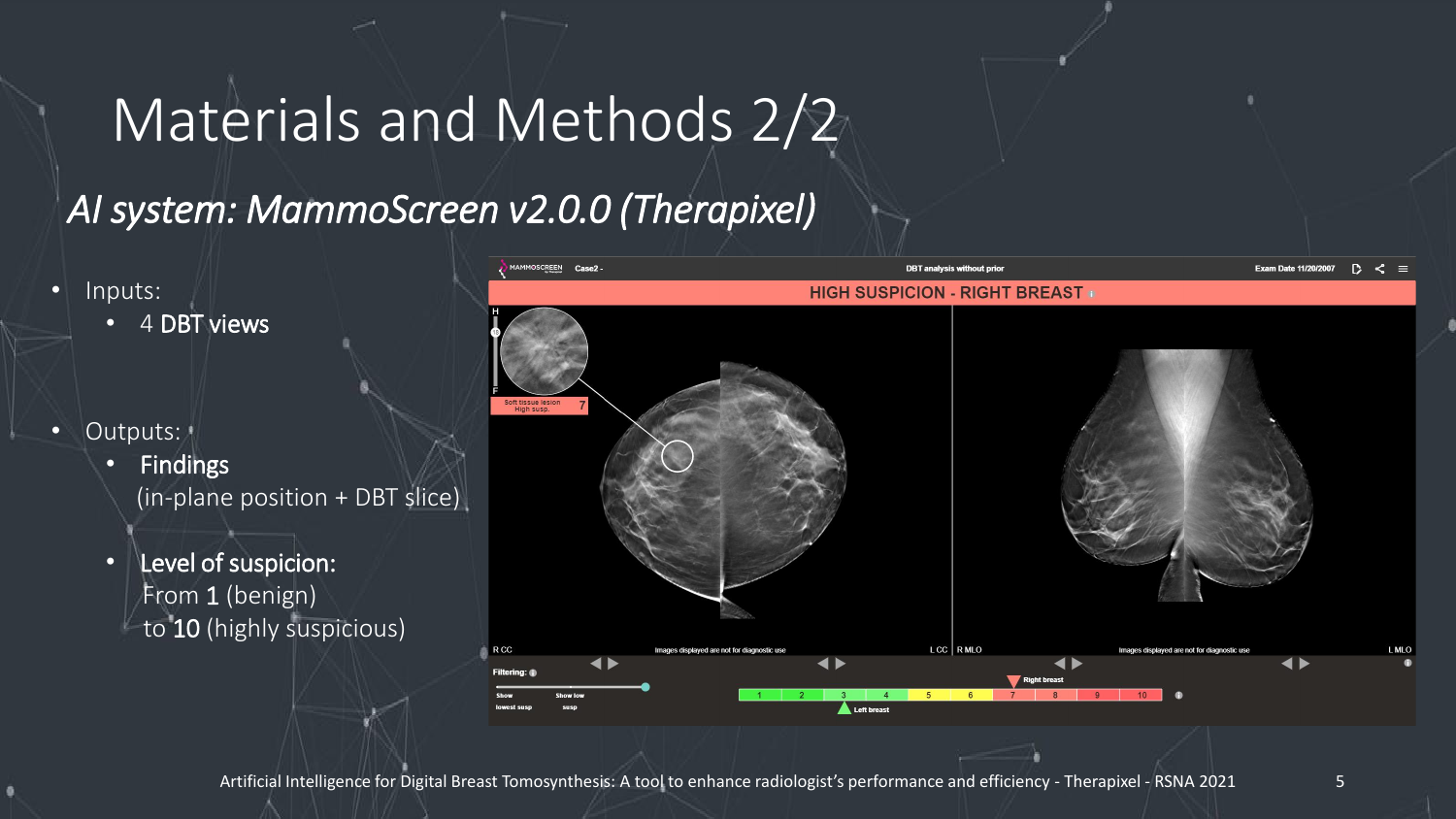### Materials and Methods 2/2

#### *AI system: MammoScreen v2.0.0 (Therapixel)*

- Inputs:
	- 4 DBT views
- Outputs:
	- Findings (in-plane position + DBT slice)
	- Level of suspicion: From 1 (benign) to 10 (highly suspicious)

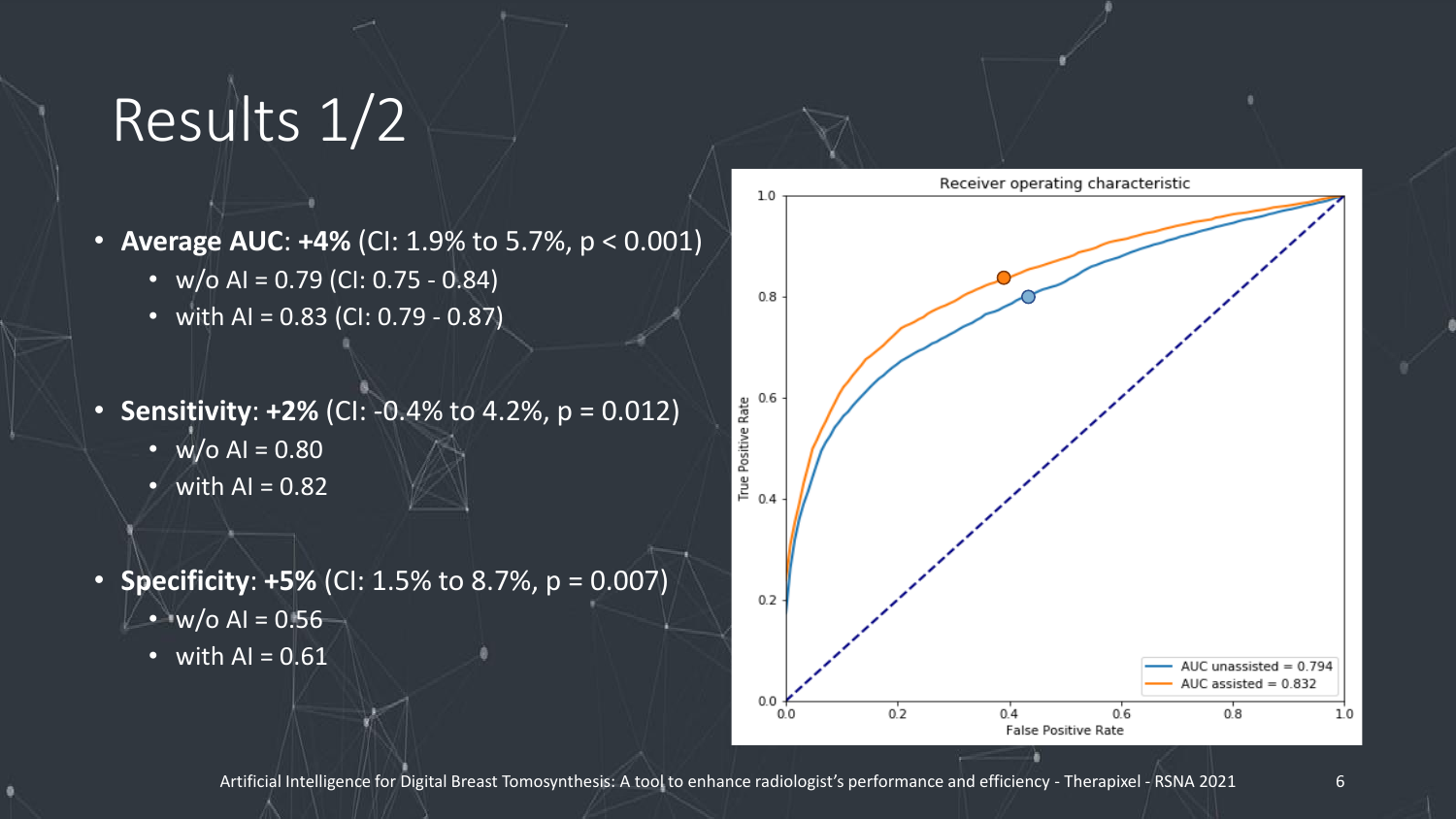### Results 1/2

- **Average AUC**: **+4%** (CI: 1.9% to 5.7%, p < 0.001)
	- $w/o$  AI = 0.79 (CI: 0.75 0.84)
	- with AI =  $0.83$  (CI:  $0.79 0.87$ )
- **Sensitivity**: **+2%** (CI: -0.4% to 4.2%, p = 0.012)
	- $w/o$  AI = 0.80
	- with  $AI = 0.82$
- **Specificity**: **+5%** (CI: 1.5% to 8.7%, p = 0.007) •  $w/o$  AI = 0.56
	- with  $AI = 0.61$

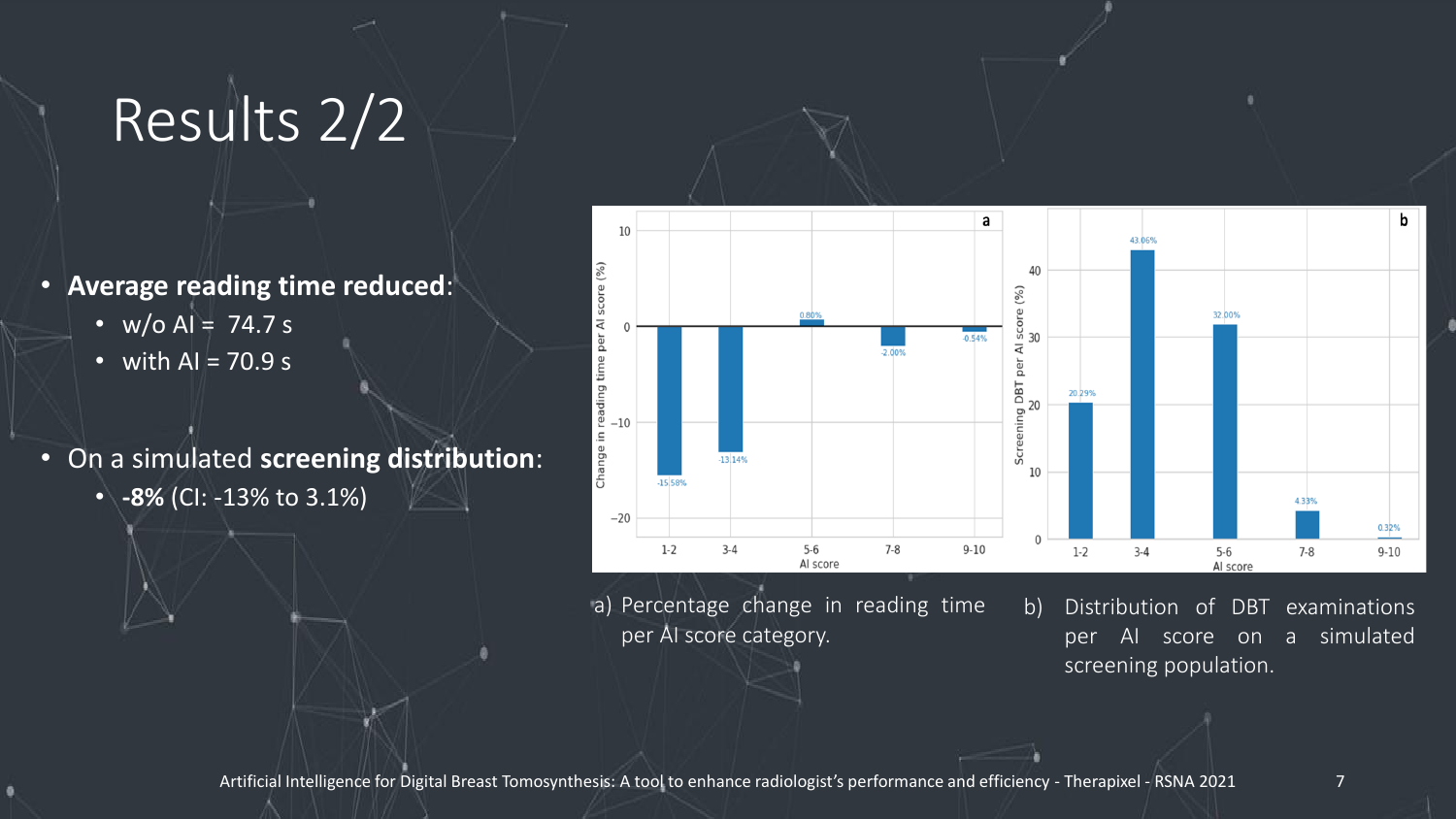# Results 2/2

- **Average reading time reduced**:
	- $w/o$  AI = 74.7 s
	- with  $AI = 70.9 s$
- On a simulated **screening distribution**:
	- **-8%** (CI: -13% to 3.1%)



a) Percentage change in reading time per AI score category.

b) Distribution of DBT examinations per AI score on a simulated screening population.